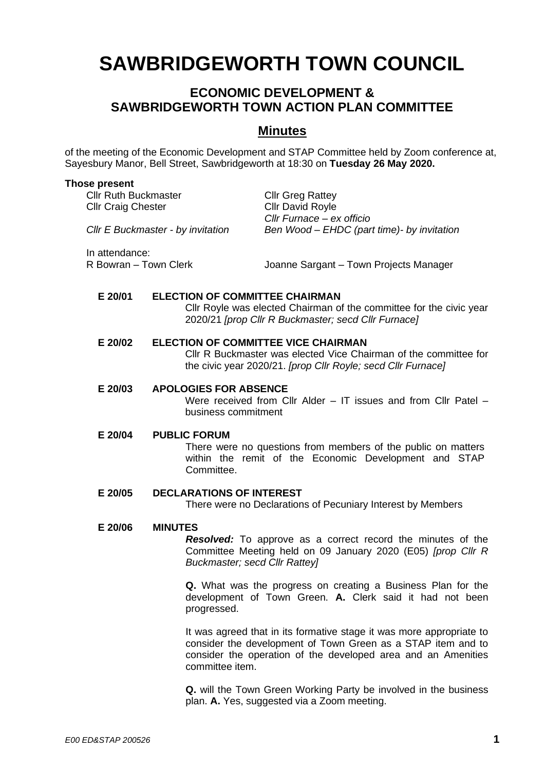# **SAWBRIDGEWORTH TOWN COUNCIL**

# **ECONOMIC DEVELOPMENT & SAWBRIDGEWORTH TOWN ACTION PLAN COMMITTEE**

# **Minutes**

of the meeting of the Economic Development and STAP Committee held by Zoom conference at, Sayesbury Manor, Bell Street, Sawbridgeworth at 18:30 on **Tuesday 26 May 2020.**

#### **Those present**

Cllr Ruth Buckmaster Cllr Greg Rattey Cllr Craig Chester Cllr David Royle

*Cllr Furnace – ex officio Cllr E Buckmaster - by invitation Ben Wood – EHDC (part time)- by invitation*

In attendance:

R Bowran – Town Clerk Joanne Sargant – Town Projects Manager

#### **E 20/01 ELECTION OF COMMITTEE CHAIRMAN**

Cllr Royle was elected Chairman of the committee for the civic year 2020/21 *[prop Cllr R Buckmaster; secd Cllr Furnace]*

#### **E 20/02 ELECTION OF COMMITTEE VICE CHAIRMAN**

Cllr R Buckmaster was elected Vice Chairman of the committee for the civic year 2020/21. *[prop Cllr Royle; secd Cllr Furnace]*

## **E 20/03 APOLOGIES FOR ABSENCE**

Were received from Cllr Alder – IT issues and from Cllr Patel – business commitment

#### **E 20/04 PUBLIC FORUM**

There were no questions from members of the public on matters within the remit of the Economic Development and STAP Committee.

### **E 20/05 DECLARATIONS OF INTEREST**

There were no Declarations of Pecuniary Interest by Members

#### **E 20/06 MINUTES**

*Resolved:* To approve as a correct record the minutes of the Committee Meeting held on 09 January 2020 (E05) *[prop Cllr R Buckmaster; secd Cllr Rattey]*

**Q.** What was the progress on creating a Business Plan for the development of Town Green. **A.** Clerk said it had not been progressed.

It was agreed that in its formative stage it was more appropriate to consider the development of Town Green as a STAP item and to consider the operation of the developed area and an Amenities committee item.

**Q.** will the Town Green Working Party be involved in the business plan. **A.** Yes, suggested via a Zoom meeting.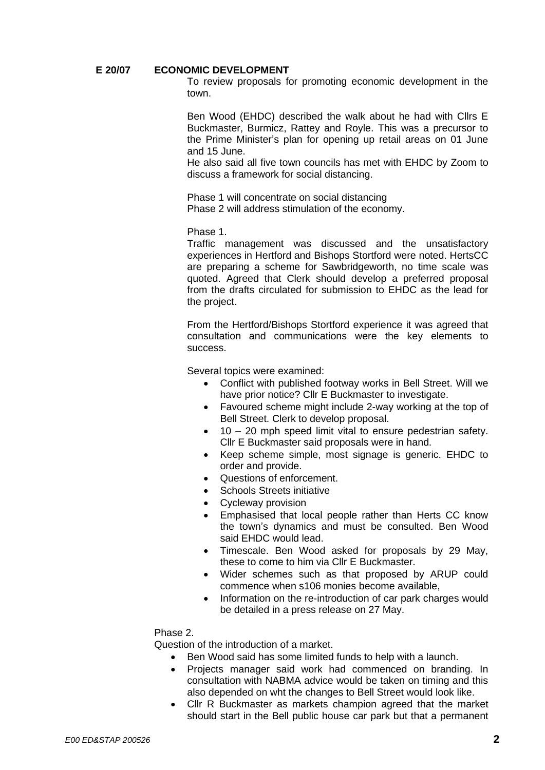#### **E 20/07 ECONOMIC DEVELOPMENT**

To review proposals for promoting economic development in the town.

Ben Wood (EHDC) described the walk about he had with Cllrs E Buckmaster, Burmicz, Rattey and Royle. This was a precursor to the Prime Minister's plan for opening up retail areas on 01 June and 15 June.

He also said all five town councils has met with EHDC by Zoom to discuss a framework for social distancing.

Phase 1 will concentrate on social distancing Phase 2 will address stimulation of the economy.

Phase 1.

Traffic management was discussed and the unsatisfactory experiences in Hertford and Bishops Stortford were noted. HertsCC are preparing a scheme for Sawbridgeworth, no time scale was quoted. Agreed that Clerk should develop a preferred proposal from the drafts circulated for submission to EHDC as the lead for the project.

From the Hertford/Bishops Stortford experience it was agreed that consultation and communications were the key elements to success.

Several topics were examined:

- Conflict with published footway works in Bell Street. Will we have prior notice? Cllr E Buckmaster to investigate.
- Favoured scheme might include 2-way working at the top of Bell Street. Clerk to develop proposal.
- 10 20 mph speed limit vital to ensure pedestrian safety. Cllr E Buckmaster said proposals were in hand.
- Keep scheme simple, most signage is generic. EHDC to order and provide.
- Questions of enforcement.
- Schools Streets initiative
- Cycleway provision
- Emphasised that local people rather than Herts CC know the town's dynamics and must be consulted. Ben Wood said EHDC would lead.
- Timescale. Ben Wood asked for proposals by 29 May, these to come to him via Cllr E Buckmaster.
- Wider schemes such as that proposed by ARUP could commence when s106 monies become available,
- Information on the re-introduction of car park charges would be detailed in a press release on 27 May.

#### Phase 2.

Question of the introduction of a market.

- Ben Wood said has some limited funds to help with a launch.
- Projects manager said work had commenced on branding. In consultation with NABMA advice would be taken on timing and this also depended on wht the changes to Bell Street would look like.
- Cllr R Buckmaster as markets champion agreed that the market should start in the Bell public house car park but that a permanent